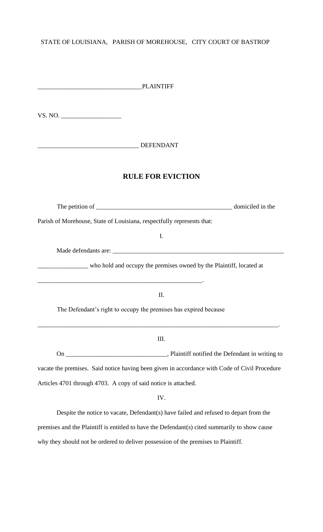## STATE OF LOUISIANA, PARISH OF MOREHOUSE, CITY COURT OF BASTROP

| PLAINTIFF                                                                                     |  |
|-----------------------------------------------------------------------------------------------|--|
|                                                                                               |  |
| DEFENDANT                                                                                     |  |
| <b>RULE FOR EVICTION</b>                                                                      |  |
|                                                                                               |  |
| Parish of Morehouse, State of Louisiana, respectfully represents that:                        |  |
| I.                                                                                            |  |
|                                                                                               |  |
| who hold and occupy the premises owned by the Plaintiff, located at                           |  |
| II.                                                                                           |  |
| The Defendant's right to occupy the premises has expired because                              |  |
| III.                                                                                          |  |
|                                                                                               |  |
| vacate the premises. Said notice having been given in accordance with Code of Civil Procedure |  |
| Articles 4701 through 4703. A copy of said notice is attached.                                |  |
| IV.                                                                                           |  |
| Despite the notice to vacate, Defendant(s) have failed and refused to depart from the         |  |
| premises and the Plaintiff is entitled to have the Defendant(s) cited summarily to show cause |  |

why they should not be ordered to deliver possession of the premises to Plaintiff.